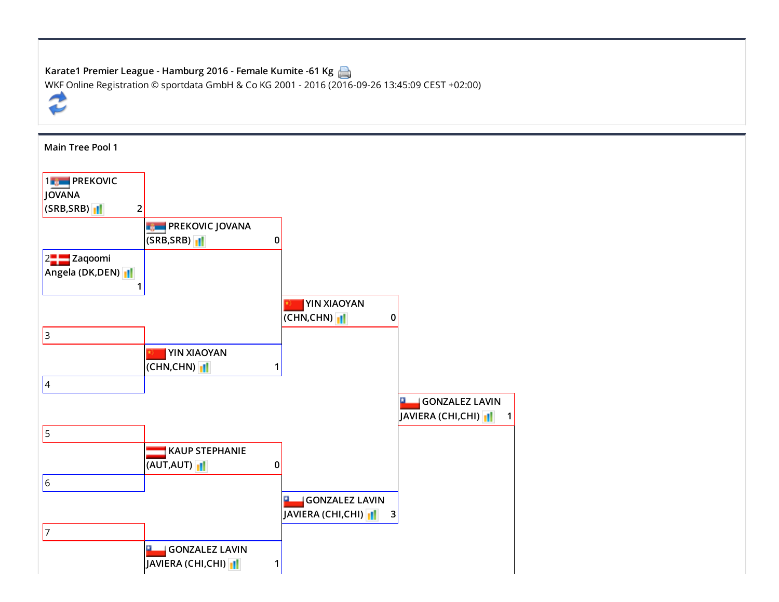| Karate1 Premier League - Hamburg 2016 - Female Kumite -61 Kg                                   |
|------------------------------------------------------------------------------------------------|
| WKF Online Registration © sportdata GmbH & Co KG 2001 - 2016 (2016-09-26 13:45:09 CEST +02:00) |
| €                                                                                              |
|                                                                                                |

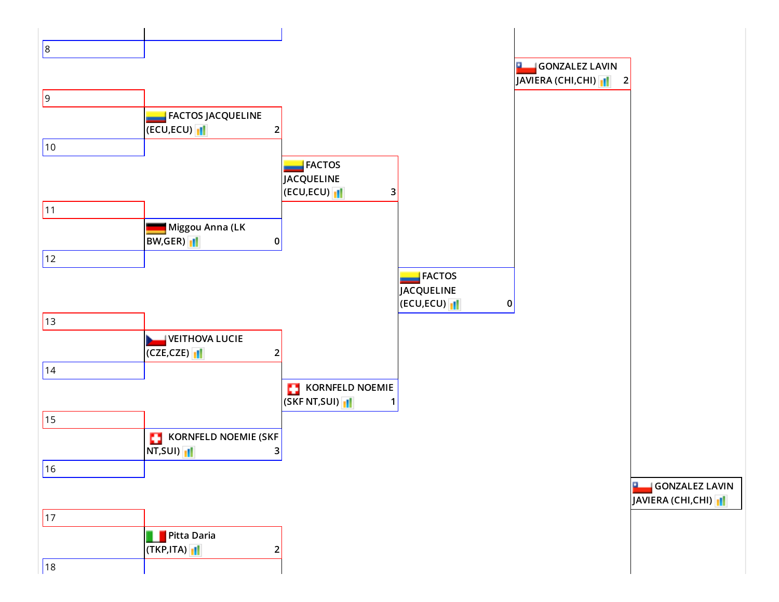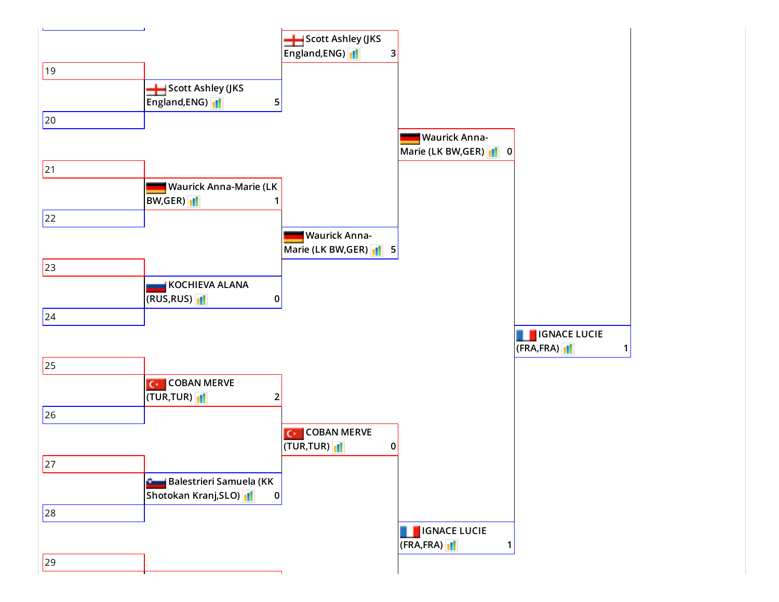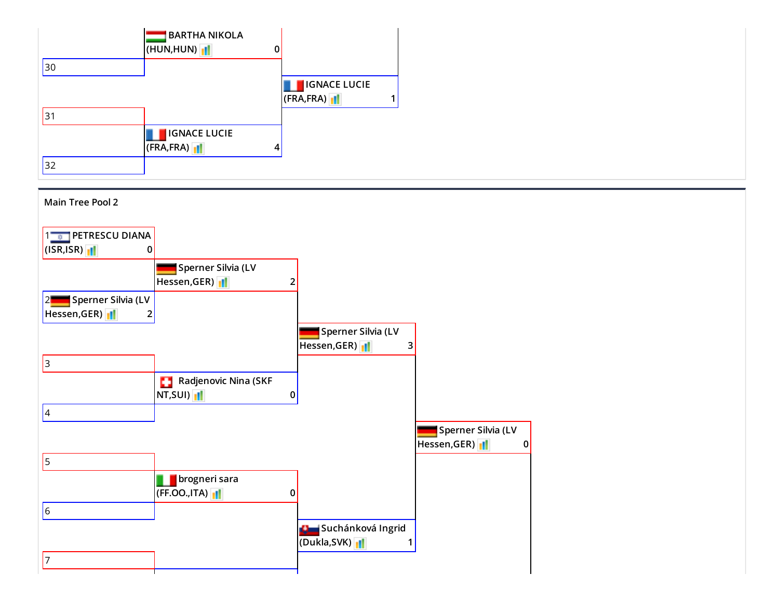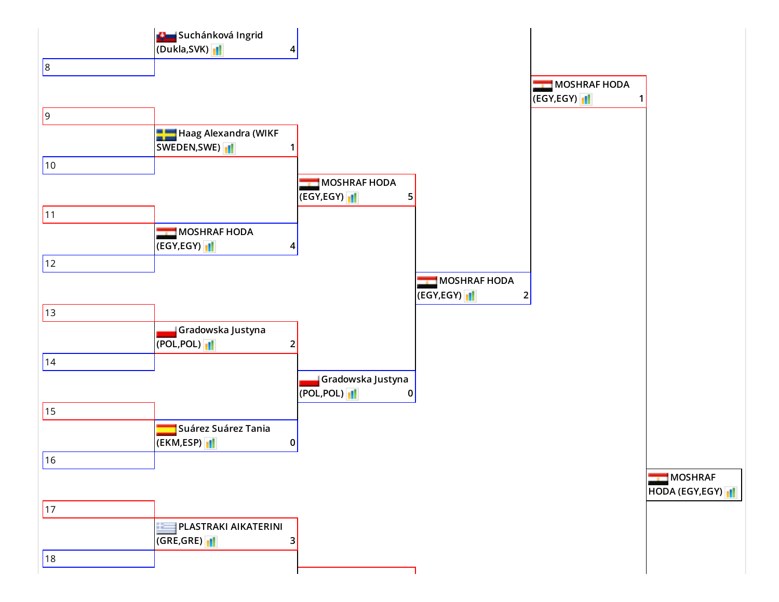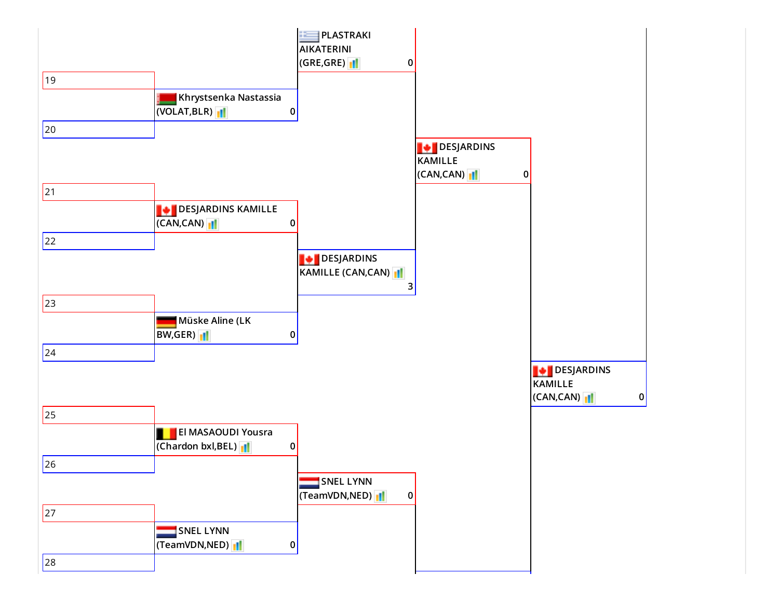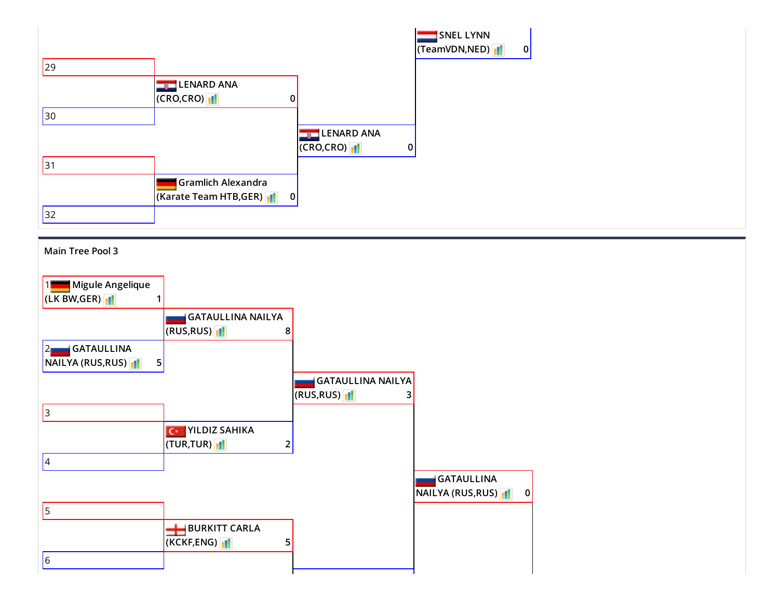

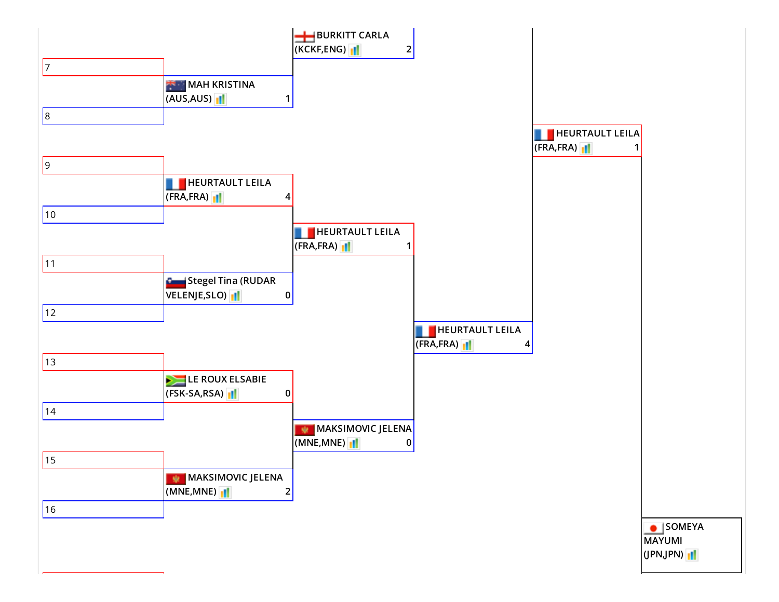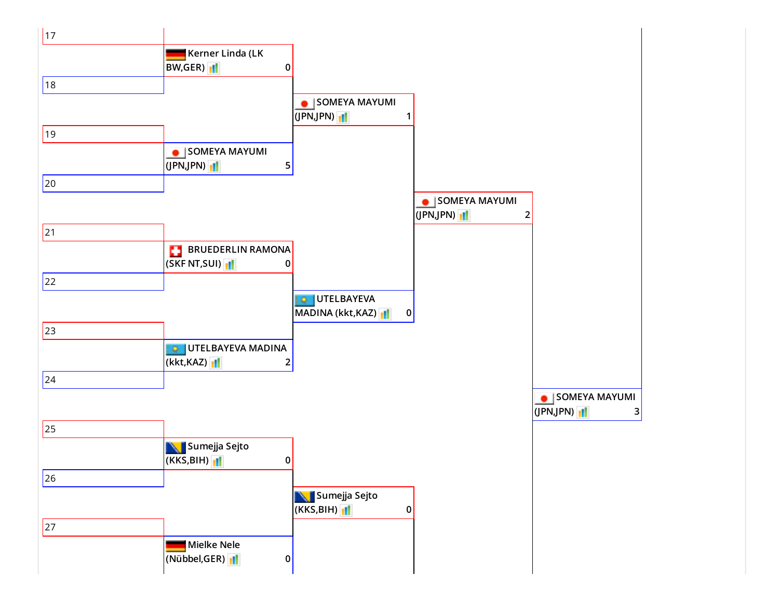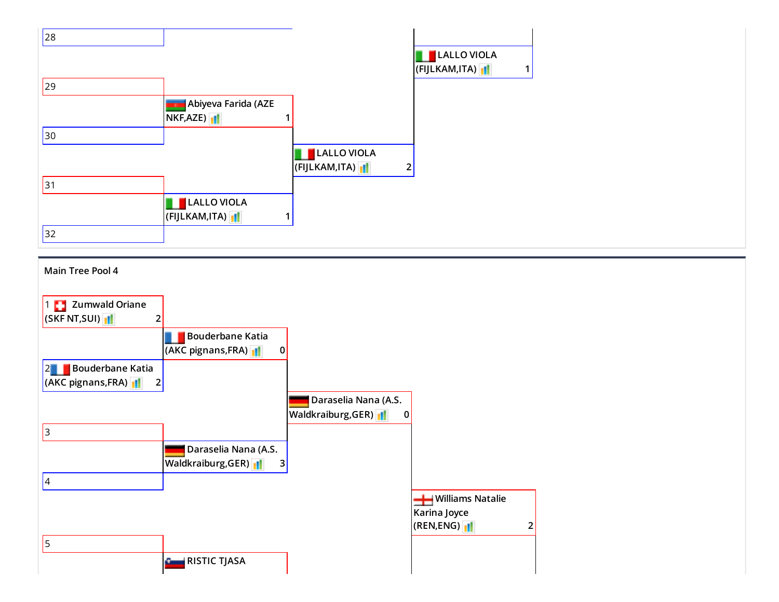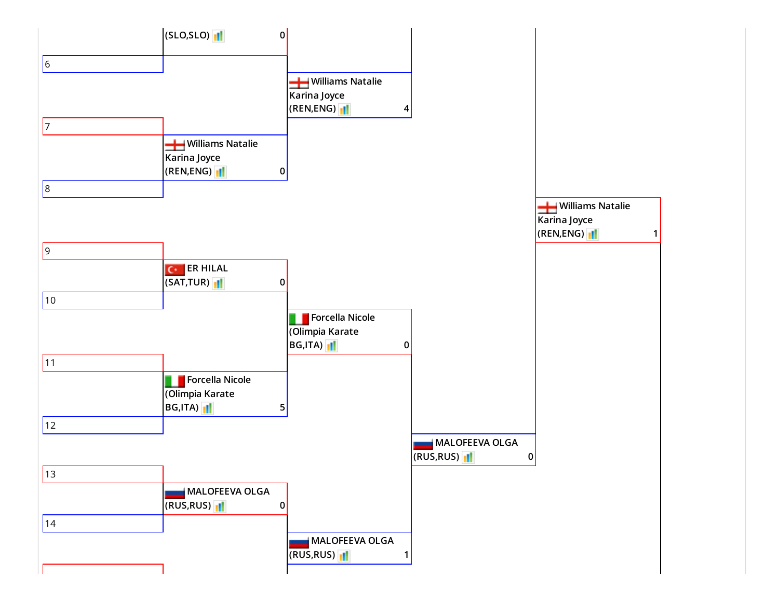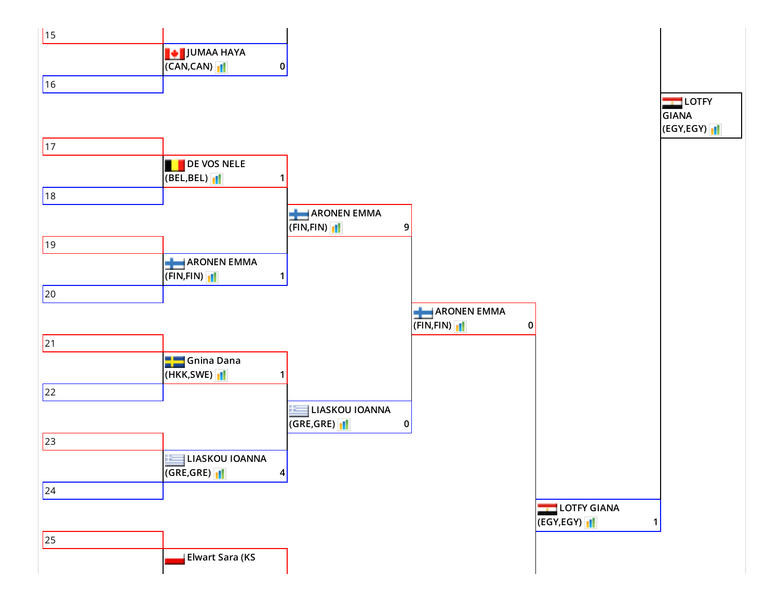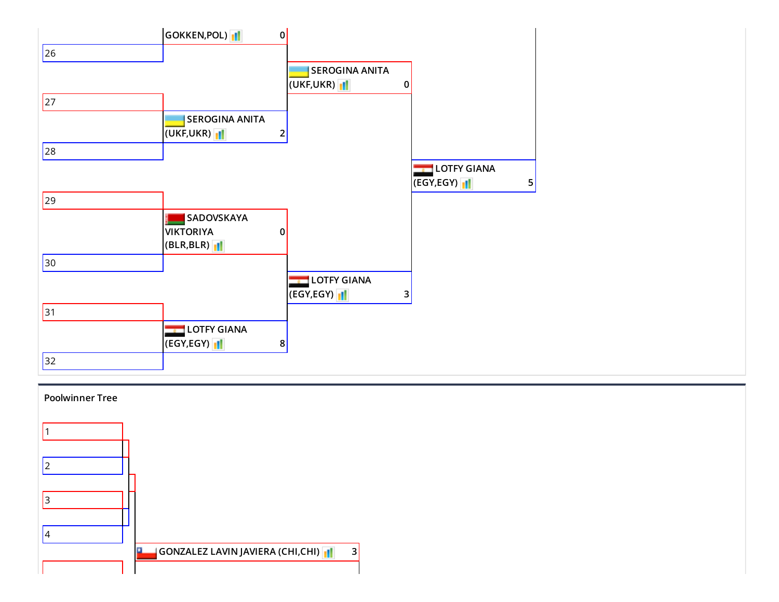

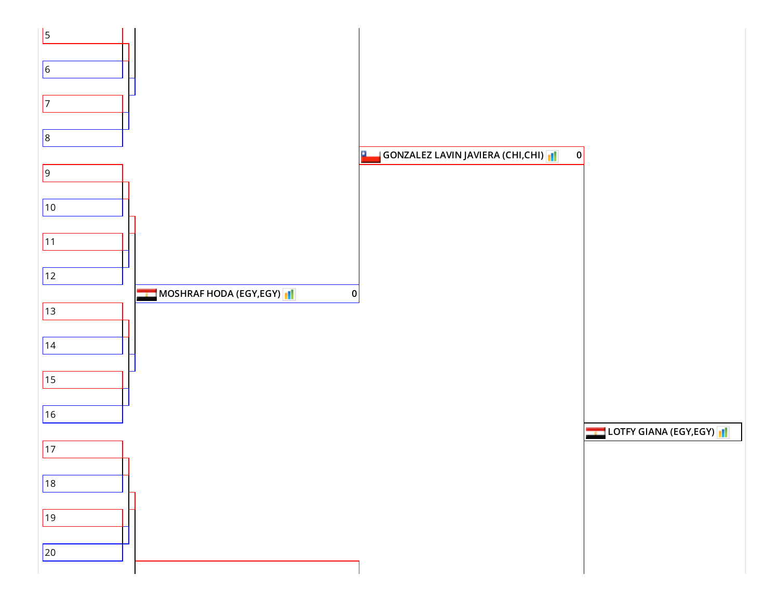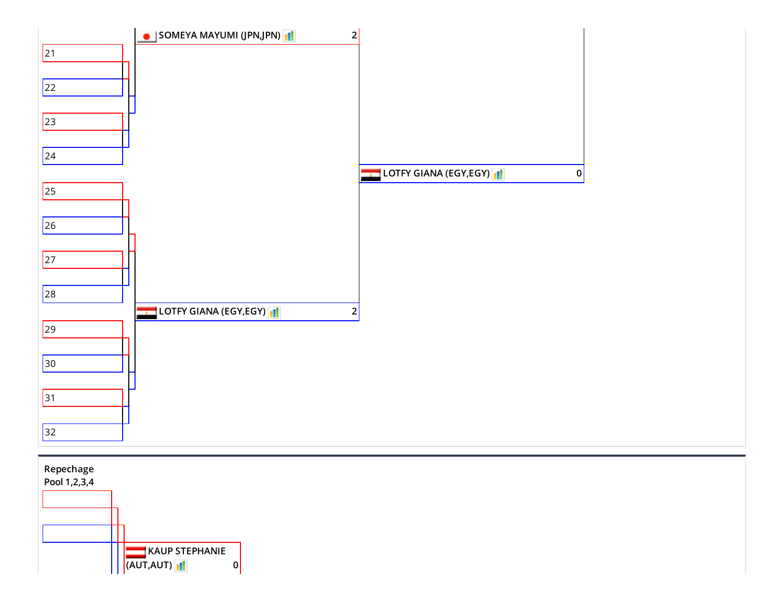